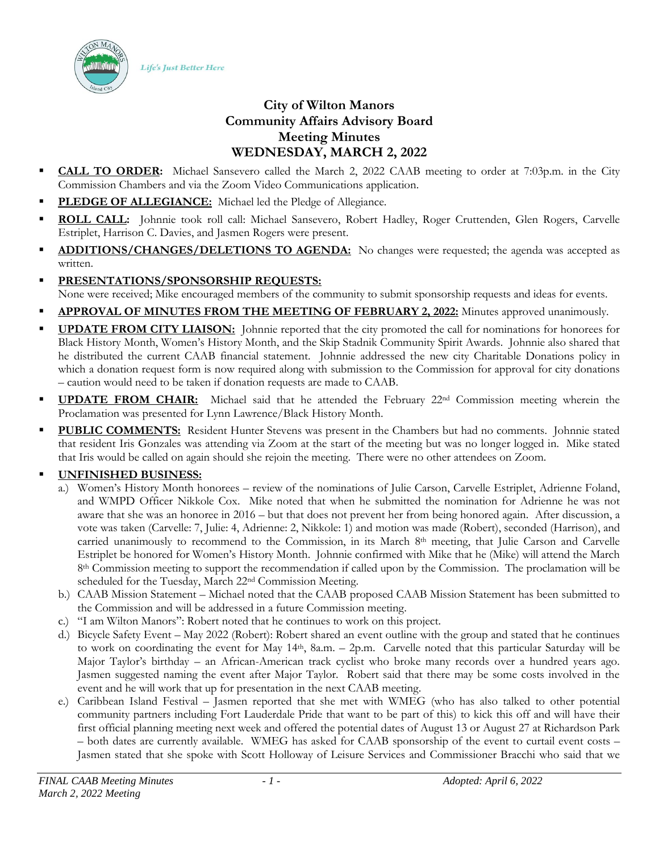Life's Just Better Here



- **CALL TO ORDER:** Michael Sansevero called the March 2, 2022 CAAB meeting to order at 7:03p.m. in the City Commission Chambers and via the Zoom Video Communications application.
- PLEDGE OF ALLEGIANCE: Michael led the Pledge of Allegiance.
- ROLL CALL: Johnnie took roll call: Michael Sansevero, Robert Hadley, Roger Cruttenden, Glen Rogers, Carvelle Estriplet, Harrison C. Davies, and Jasmen Rogers were present.
- ADDITIONS/CHANGES/DELETIONS TO AGENDA: No changes were requested; the agenda was accepted as written.
- **PRESENTATIONS/SPONSORSHIP REQUESTS:** None were received; Mike encouraged members of the community to submit sponsorship requests and ideas for events.
- APPROVAL OF MINUTES FROM THE MEETING OF FEBRUARY 2, 2022: Minutes approved unanimously.
- **UPDATE FROM CITY LIAISON:** Johnnie reported that the city promoted the call for nominations for honorees for Black History Month, Women's History Month, and the Skip Stadnik Community Spirit Awards. Johnnie also shared that he distributed the current CAAB financial statement. Johnnie addressed the new city Charitable Donations policy in which a donation request form is now required along with submission to the Commission for approval for city donations – caution would need to be taken if donation requests are made to CAAB.
- **UPDATE FROM CHAIR:** Michael said that he attended the February 22<sup>nd</sup> Commission meeting wherein the Proclamation was presented for Lynn Lawrence/Black History Month.
- **PUBLIC COMMENTS:** Resident Hunter Stevens was present in the Chambers but had no comments. Johnnie stated that resident Iris Gonzales was attending via Zoom at the start of the meeting but was no longer logged in. Mike stated that Iris would be called on again should she rejoin the meeting. There were no other attendees on Zoom.

## ▪ **UNFINISHED BUSINESS:**

- a.) Women's History Month honorees review of the nominations of Julie Carson, Carvelle Estriplet, Adrienne Foland, and WMPD Officer Nikkole Cox. Mike noted that when he submitted the nomination for Adrienne he was not aware that she was an honoree in 2016 – but that does not prevent her from being honored again. After discussion, a vote was taken (Carvelle: 7, Julie: 4, Adrienne: 2, Nikkole: 1) and motion was made (Robert), seconded (Harrison), and carried unanimously to recommend to the Commission, in its March 8th meeting, that Julie Carson and Carvelle Estriplet be honored for Women's History Month. Johnnie confirmed with Mike that he (Mike) will attend the March 8th Commission meeting to support the recommendation if called upon by the Commission. The proclamation will be scheduled for the Tuesday, March 22nd Commission Meeting.
- b.) CAAB Mission Statement Michael noted that the CAAB proposed CAAB Mission Statement has been submitted to the Commission and will be addressed in a future Commission meeting.
- c.) "I am Wilton Manors": Robert noted that he continues to work on this project.
- d.) Bicycle Safety Event May 2022 (Robert): Robert shared an event outline with the group and stated that he continues to work on coordinating the event for May 14th, 8a.m. – 2p.m. Carvelle noted that this particular Saturday will be Major Taylor's birthday – an African-American track cyclist who broke many records over a hundred years ago. Jasmen suggested naming the event after Major Taylor. Robert said that there may be some costs involved in the event and he will work that up for presentation in the next CAAB meeting.
- e.) Caribbean Island Festival Jasmen reported that she met with WMEG (who has also talked to other potential community partners including Fort Lauderdale Pride that want to be part of this) to kick this off and will have their first official planning meeting next week and offered the potential dates of August 13 or August 27 at Richardson Park – both dates are currently available. WMEG has asked for CAAB sponsorship of the event to curtail event costs – Jasmen stated that she spoke with Scott Holloway of Leisure Services and Commissioner Bracchi who said that we